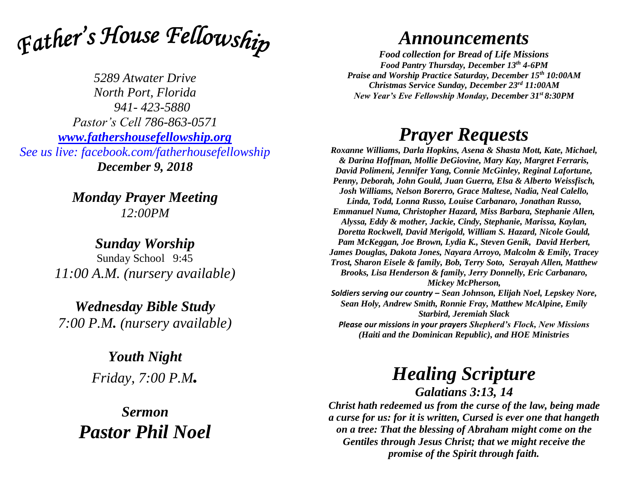

*5289 Atwater Drive North Port, Florida 941- 423-5880 Pastor's Cell 786-863-0571 [www.fathershousefellowship.org](http://www.fathershousefellowship.org/) See us live: facebook.com/fatherhousefellowship December 9, 2018*

> *Monday Prayer Meeting 12:00PM*

*Sunday Worship* Sunday School 9:45 *11:00 A.M. (nursery available)*

*Wednesday Bible Study 7:00 P.M. (nursery available)*

> *Youth Night Friday, 7:00 P.M.*

*Sermon Pastor Phil Noel*

## *Announcements*

*Food collection for Bread of Life Missions Food Pantry Thursday, December 13th 4-6PM Praise and Worship Practice Saturday, December 15th 10:00AM Christmas Service Sunday, December 23rd 11:00AM New Year's Eve Fellowship Monday, December 31st 8:30PM*

## *Prayer Requests*

*Roxanne Williams, Darla Hopkins, Asena & Shasta Mott, Kate, Michael, & Darina Hoffman, Mollie DeGiovine, Mary Kay, Margret Ferraris, David Polimeni, Jennifer Yang, Connie McGinley, Reginal Lafortune, Penny, Deborah, John Gould, Juan Guerra, Elsa & Alberto Weissfisch, Josh Williams, Nelson Borerro, Grace Maltese, Nadia, Neal Calello, Linda, Todd, Lonna Russo, Louise Carbanaro, Jonathan Russo, Emmanuel Numa, Christopher Hazard, Miss Barbara, Stephanie Allen, Alyssa, Eddy & mother, Jackie, Cindy, Stephanie, Marissa, Kaylan, Doretta Rockwell, David Merigold, William S. Hazard, Nicole Gould, Pam McKeggan, Joe Brown, Lydia K., Steven Genik, David Herbert, James Douglas, Dakota Jones, Nayara Arroyo, Malcolm & Emily, Tracey Trost, Sharon Eisele & family, Bob, Terry Soto, Serayah Allen, Matthew Brooks, Lisa Henderson & family, Jerry Donnelly, Eric Carbanaro, Mickey McPherson, Soldiers serving our country – Sean Johnson, Elijah Noel, Lepskey Nore, Sean Holy, Andrew Smith, Ronnie Fray, Matthew McAlpine, Emily* 

*Starbird, Jeremiah Slack Please our missions in your prayers Shepherd's Flock, New Missions (Haiti and the Dominican Republic), and HOE Ministries*

## *Healing Scripture*

*Galatians 3:13, 14*

*Christ hath redeemed us from the curse of the law, being made a curse for us: for it is written, Cursed is ever one that hangeth on a tree: That the blessing of Abraham might come on the Gentiles through Jesus Christ; that we might receive the promise of the Spirit through faith.*